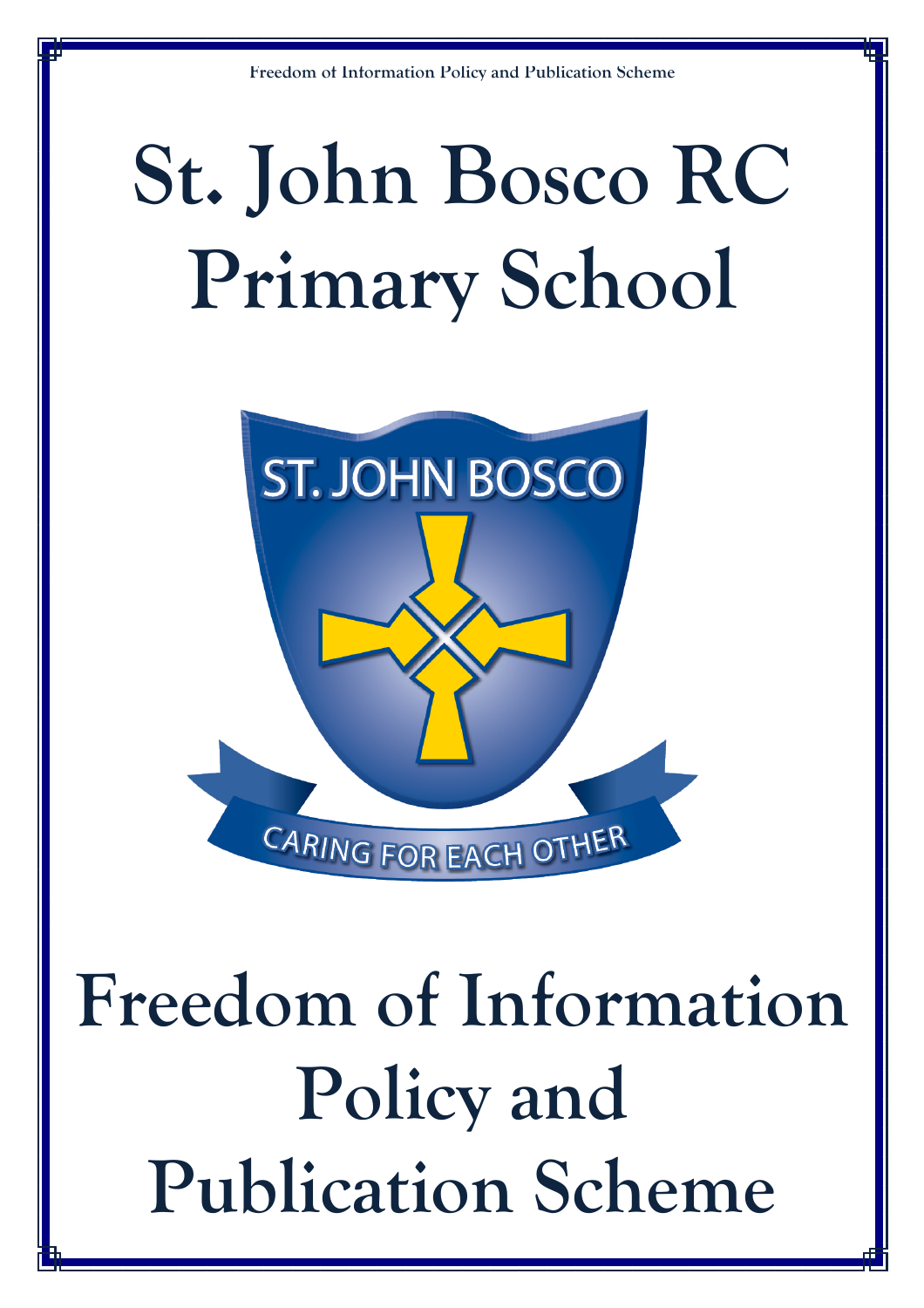# **St. John Bosco RC Primary School**



**Freedom of Information Policy and Publication Scheme**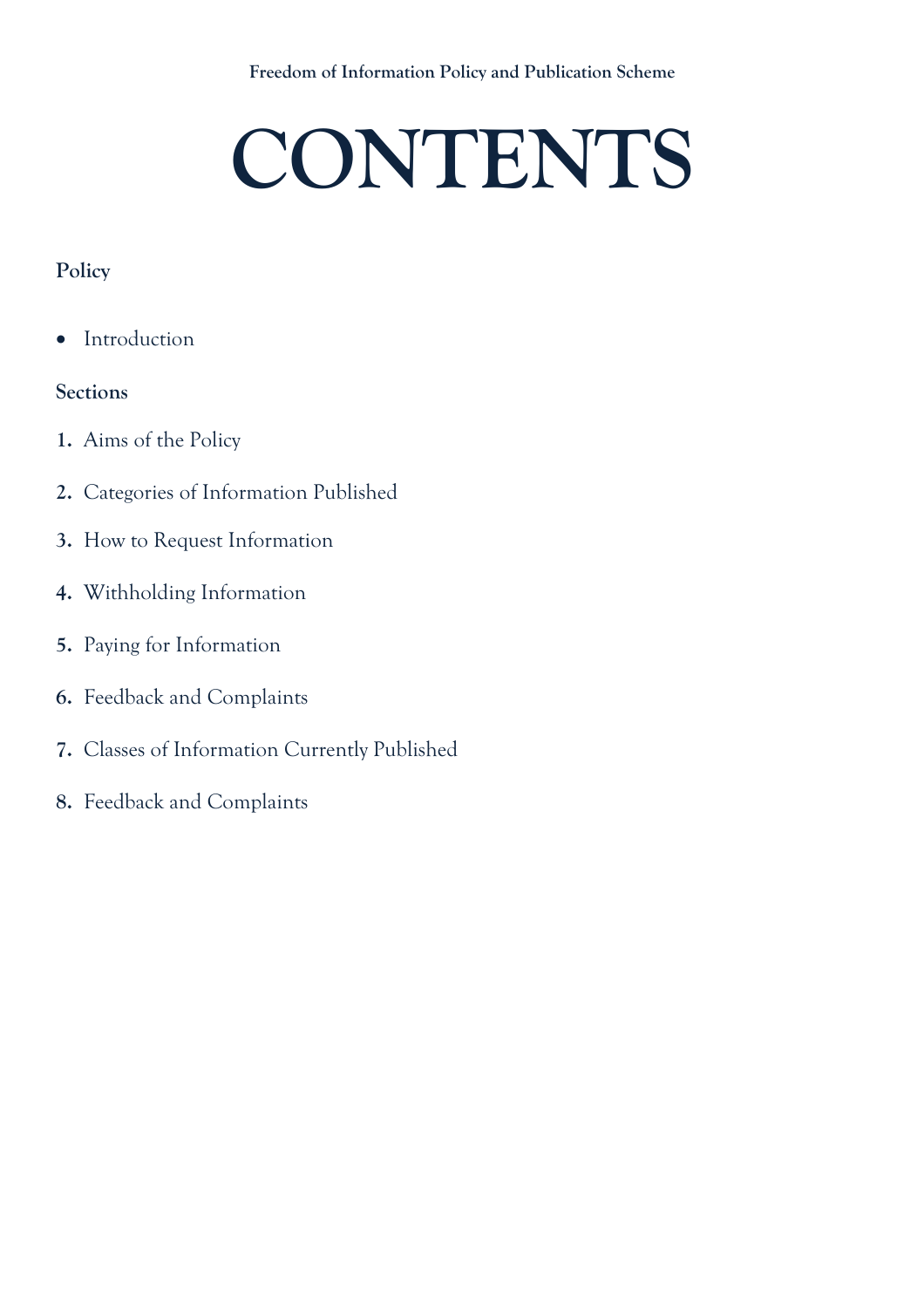# **CONTENTS**

## **Policy**

• Introduction

### **Sections**

- **1.** Aims of the Policy
- **2.** Categories of Information Published
- **3.** How to Request Information
- **4.** Withholding Information
- **5.** Paying for Information
- **6.** Feedback and Complaints
- **7.** Classes of Information Currently Published
- **8.** Feedback and Complaints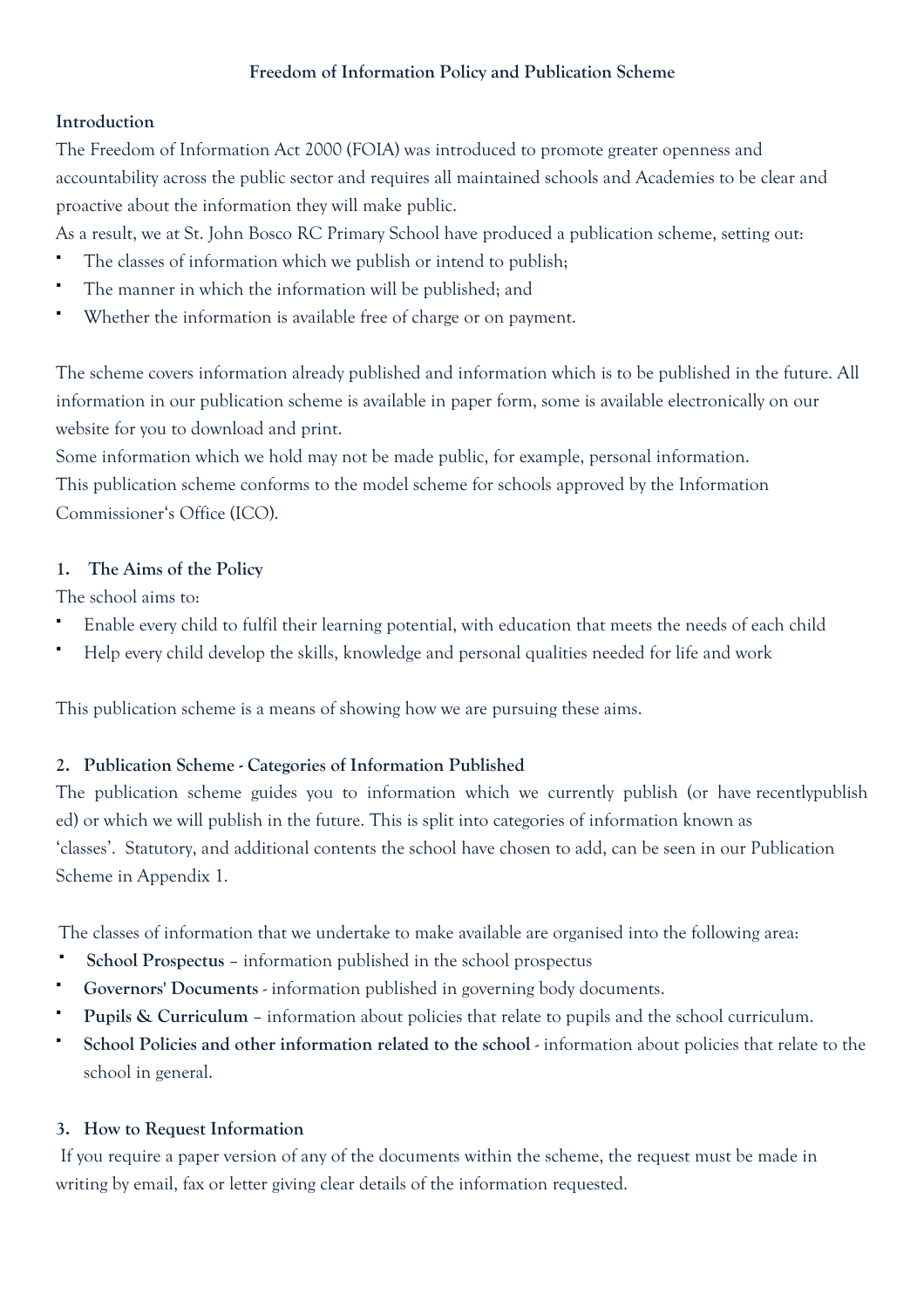#### **Introduction**

The Freedom of Information Act 2000 (FOIA) was introduced to promote greater openness and accountability across the public sector and requires all maintained schools and Academies to be clear and proactive about the information they will make public.

As a result, we at St. John Bosco RC Primary School have produced a publication scheme, setting out:

- The classes of information which we publish or intend to publish;
- The manner in which the information will be published; and
- Whether the information is available free of charge or on payment.

The scheme covers information already published and information which is to be published in the future. All information in our publication scheme is available in paper form, some is available electronically on our website for you to download and print.

Some information which we hold may not be made public, for example, personal information. This publication scheme conforms to the model scheme for schools approved by the Information Commissioner's Office (ICO).

#### **1. The Aims of the Policy**

The school aims to:

- Enable every child to fulfil their learning potential, with education that meets the needs of each child
- Help every child develop the skills, knowledge and personal qualities needed for life and work

This publication scheme is a means of showing how we are pursuing these aims.

#### **2. Publication Scheme - Categories of Information Published**

The publication scheme guides you to information which we currently publish (or have recentlypublish ed) or which we will publish in the future. This is split into categories of information known as 'classes'. Statutory, and additional contents the school have chosen to add, can be seen in our Publication Scheme in Appendix 1.

The classes of information that we undertake to make available are organised into the following area:

- **School Prospectus**  information published in the school prospectus
- **Governors' Documents** information published in governing body documents.
- **Pupils & Curriculum**  information about policies that relate to pupils and the school curriculum.
- School Policies and other information related to the school information about policies that relate to the school in general.

#### **3. How to Request Information**

 If you require a paper version of any of the documents within the scheme, the request must be made in writing by email, fax or letter giving clear details of the information requested.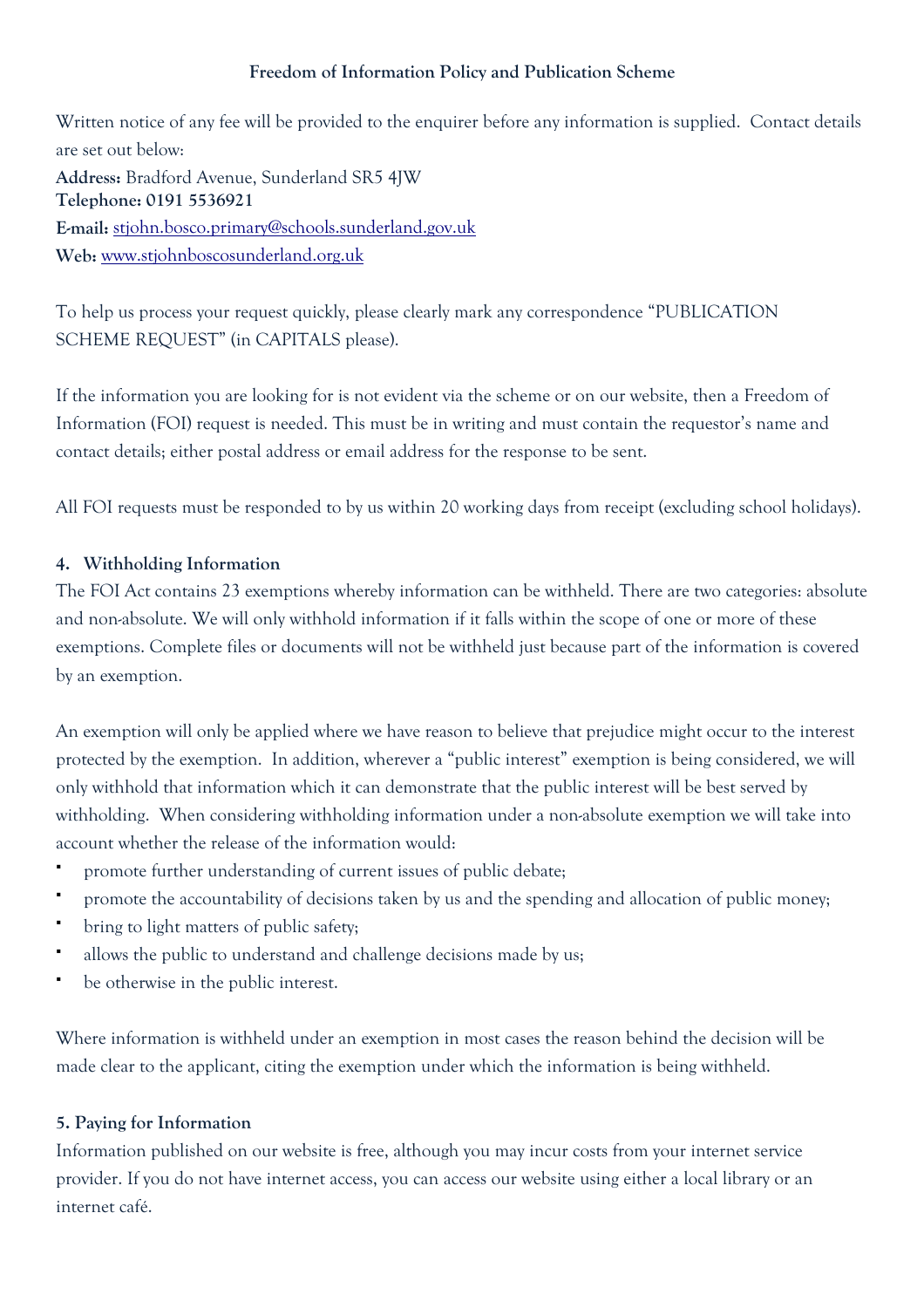Written notice of any fee will be provided to the enquirer before any information is supplied. Contact details are set out below: **Address:** Bradford Avenue, Sunderland SR5 4JW **Telephone: 0191 5536921 E-mail:** stjohn.bosco.primary@schools.sunderland.gov.uk **Web:** www.stjohnboscosunderland.org.uk

To help us process your request quickly, please clearly mark any correspondence "PUBLICATION SCHEME REQUEST" (in CAPITALS please).

If the information you are looking for is not evident via the scheme or on our website, then a Freedom of Information (FOI) request is needed. This must be in writing and must contain the requestor's name and contact details; either postal address or email address for the response to be sent.

All FOI requests must be responded to by us within 20 working days from receipt (excluding school holidays).

#### **4. Withholding Information**

The FOI Act contains 23 exemptions whereby information can be withheld. There are two categories: absolute and non-absolute. We will only withhold information if it falls within the scope of one or more of these exemptions. Complete files or documents will not be withheld just because part of the information is covered by an exemption.

An exemption will only be applied where we have reason to believe that prejudice might occur to the interest protected by the exemption. In addition, wherever a "public interest" exemption is being considered, we will only withhold that information which it can demonstrate that the public interest will be best served by withholding. When considering withholding information under a non-absolute exemption we will take into account whether the release of the information would:

- promote further understanding of current issues of public debate;
- promote the accountability of decisions taken by us and the spending and allocation of public money;
- bring to light matters of public safety;
- allows the public to understand and challenge decisions made by us;
- be otherwise in the public interest.

Where information is withheld under an exemption in most cases the reason behind the decision will be made clear to the applicant, citing the exemption under which the information is being withheld.

#### **5. Paying for Information**

Information published on our website is free, although you may incur costs from your internet service provider. If you do not have internet access, you can access our website using either a local library or an internet café.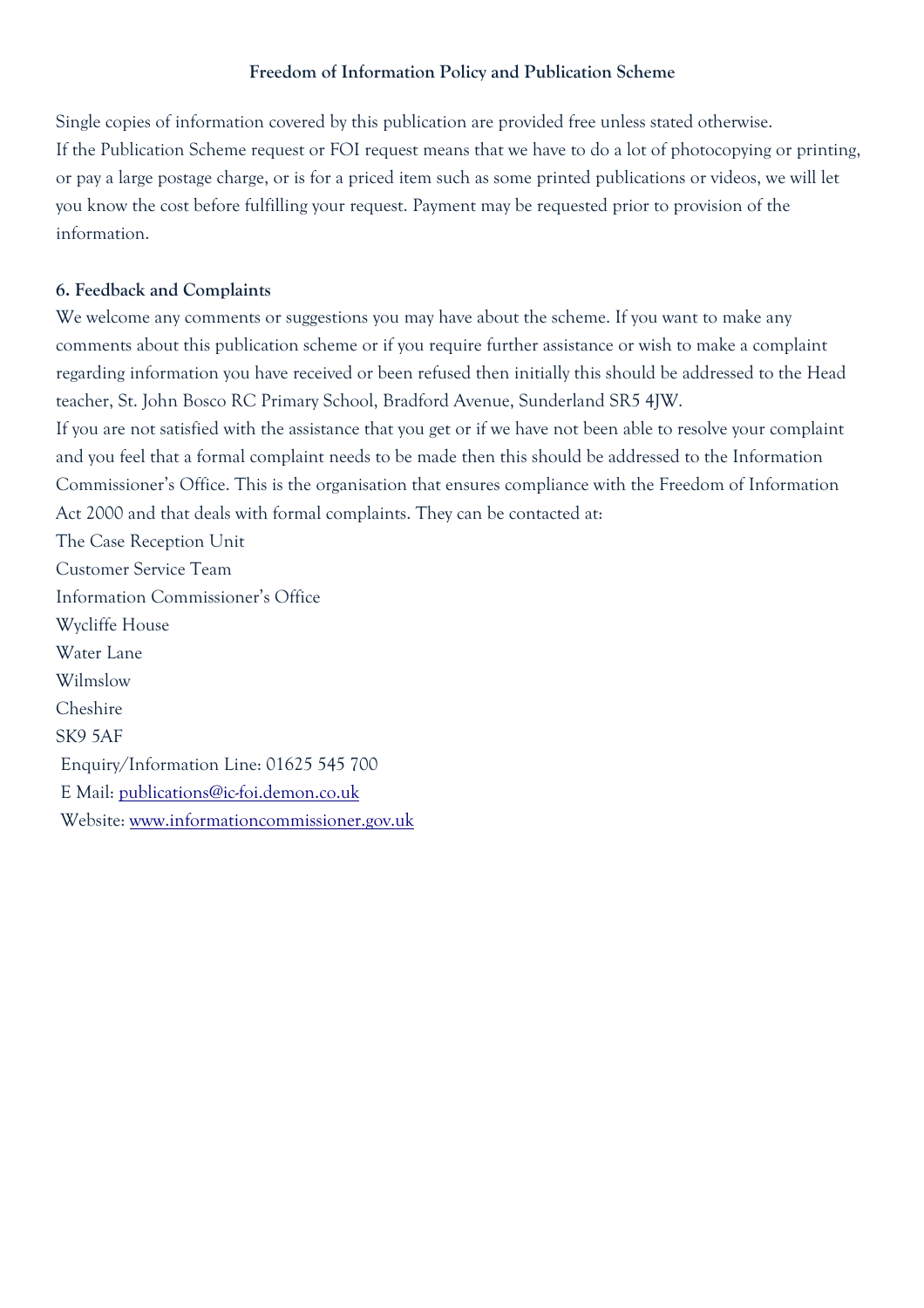Single copies of information covered by this publication are provided free unless stated otherwise. If the Publication Scheme request or FOI request means that we have to do a lot of photocopying or printing, or pay a large postage charge, or is for a priced item such as some printed publications or videos, we will let you know the cost before fulfilling your request. Payment may be requested prior to provision of the information.

#### **6. Feedback and Complaints**

We welcome any comments or suggestions you may have about the scheme. If you want to make any comments about this publication scheme or if you require further assistance or wish to make a complaint regarding information you have received or been refused then initially this should be addressed to the Head teacher, St. John Bosco RC Primary School, Bradford Avenue, Sunderland SR5 4JW. If you are not satisfied with the assistance that you get or if we have not been able to resolve your complaint and you feel that a formal complaint needs to be made then this should be addressed to the Information Commissioner's Office. This is the organisation that ensures compliance with the Freedom of Information Act 2000 and that deals with formal complaints. They can be contacted at: The Case Reception Unit Customer Service Team Information Commissioner's Office Wycliffe House Water Lane Wilmslow Cheshire SK9 5AF Enquiry/Information Line: 01625 545 700 E Mail: publications@ic-foi.demon.co.uk Website: www.informationcommissioner.gov.uk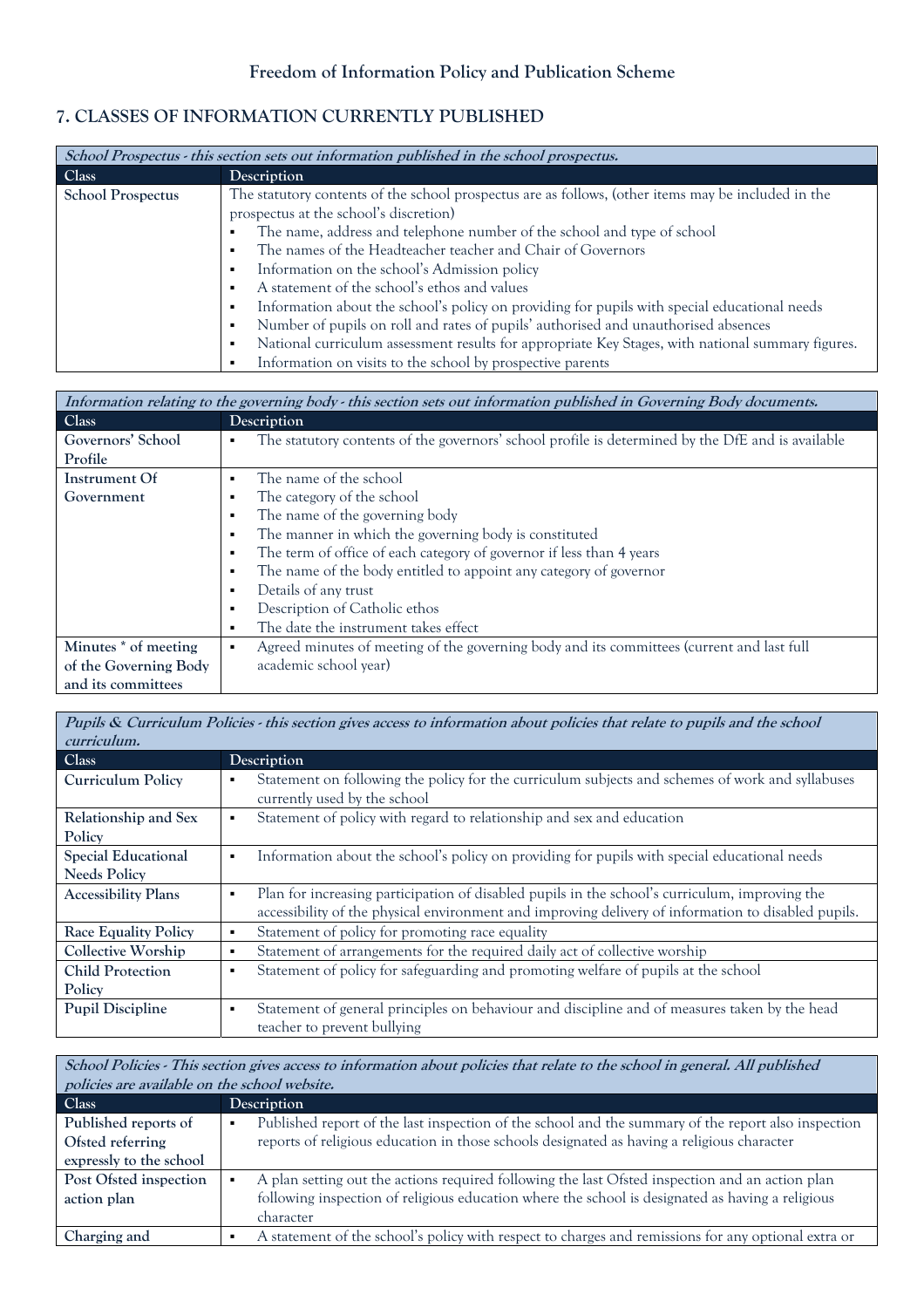#### **7. CLASSES OF INFORMATION CURRENTLY PUBLISHED**

| School Prospectus - this section sets out information published in the school prospectus. |                                                                                                        |  |
|-------------------------------------------------------------------------------------------|--------------------------------------------------------------------------------------------------------|--|
| Class                                                                                     | Description                                                                                            |  |
| <b>School Prospectus</b>                                                                  | The statutory contents of the school prospectus are as follows, (other items may be included in the    |  |
|                                                                                           | prospectus at the school's discretion)                                                                 |  |
|                                                                                           | The name, address and telephone number of the school and type of school<br>$\blacksquare$              |  |
|                                                                                           | The names of the Headteacher teacher and Chair of Governors<br>$\blacksquare$                          |  |
|                                                                                           | Information on the school's Admission policy<br>$\blacksquare$                                         |  |
|                                                                                           | A statement of the school's ethos and values<br>$\blacksquare$                                         |  |
|                                                                                           | Information about the school's policy on providing for pupils with special educational needs<br>٠      |  |
|                                                                                           | Number of pupils on roll and rates of pupils' authorised and unauthorised absences<br>$\blacksquare$   |  |
|                                                                                           | National curriculum assessment results for appropriate Key Stages, with national summary figures.<br>٠ |  |
|                                                                                           | Information on visits to the school by prospective parents                                             |  |

| Information relating to the governing body - this section sets out information published in Governing Body documents. |                                                                                                                     |  |
|-----------------------------------------------------------------------------------------------------------------------|---------------------------------------------------------------------------------------------------------------------|--|
| Class                                                                                                                 | Description                                                                                                         |  |
| Governors' School                                                                                                     | The statutory contents of the governors' school profile is determined by the DfE and is available<br>$\blacksquare$ |  |
| Profile                                                                                                               |                                                                                                                     |  |
| Instrument Of                                                                                                         | The name of the school<br>٠                                                                                         |  |
| Government                                                                                                            | The category of the school<br>п                                                                                     |  |
|                                                                                                                       | The name of the governing body                                                                                      |  |
|                                                                                                                       | The manner in which the governing body is constituted<br>$\blacksquare$                                             |  |
|                                                                                                                       | The term of office of each category of governor if less than 4 years<br>٠                                           |  |
|                                                                                                                       | The name of the body entitled to appoint any category of governor<br>٠                                              |  |
|                                                                                                                       | Details of any trust                                                                                                |  |
|                                                                                                                       | Description of Catholic ethos<br>п                                                                                  |  |
|                                                                                                                       | The date the instrument takes effect<br>٠                                                                           |  |
| Minutes * of meeting                                                                                                  | Agreed minutes of meeting of the governing body and its committees (current and last full<br>٠                      |  |
| of the Governing Body                                                                                                 | academic school year)                                                                                               |  |
| and its committees                                                                                                    |                                                                                                                     |  |

| Pupils & Curriculum Policies - this section gives access to information about policies that relate to pupils and the school |                                                                                                                                                                                                            |  |
|-----------------------------------------------------------------------------------------------------------------------------|------------------------------------------------------------------------------------------------------------------------------------------------------------------------------------------------------------|--|
| curriculum.                                                                                                                 |                                                                                                                                                                                                            |  |
| Class                                                                                                                       | Description                                                                                                                                                                                                |  |
| <b>Curriculum Policy</b>                                                                                                    | Statement on following the policy for the curriculum subjects and schemes of work and syllabuses<br>٠<br>currently used by the school                                                                      |  |
| Relationship and Sex<br>Policy                                                                                              | Statement of policy with regard to relationship and sex and education<br>٠                                                                                                                                 |  |
| <b>Special Educational</b><br><b>Needs Policy</b>                                                                           | Information about the school's policy on providing for pupils with special educational needs<br>٠                                                                                                          |  |
| <b>Accessibility Plans</b>                                                                                                  | Plan for increasing participation of disabled pupils in the school's curriculum, improving the<br>٠<br>accessibility of the physical environment and improving delivery of information to disabled pupils. |  |
| <b>Race Equality Policy</b>                                                                                                 | Statement of policy for promoting race equality<br>٠                                                                                                                                                       |  |
| <b>Collective Worship</b>                                                                                                   | Statement of arrangements for the required daily act of collective worship<br>٠                                                                                                                            |  |
| <b>Child Protection</b>                                                                                                     | Statement of policy for safeguarding and promoting welfare of pupils at the school<br>٠                                                                                                                    |  |
| Policy                                                                                                                      |                                                                                                                                                                                                            |  |
| <b>Pupil Discipline</b>                                                                                                     | Statement of general principles on behaviour and discipline and of measures taken by the head<br>٠<br>teacher to prevent bullying                                                                          |  |

**School Policies - This section gives access to information about policies that relate to the school in general. All published policies are available on the school website. Class Description Published reports of Ofsted referring expressly to the school**  Published report of the last inspection of the school and the summary of the report also inspection reports of religious education in those schools designated as having a religious character **Post Ofsted inspection action plan**  A plan setting out the actions required following the last Ofsted inspection and an action plan following inspection of religious education where the school is designated as having a religious character **Charging and A** statement of the school's policy with respect to charges and remissions for any optional extra or